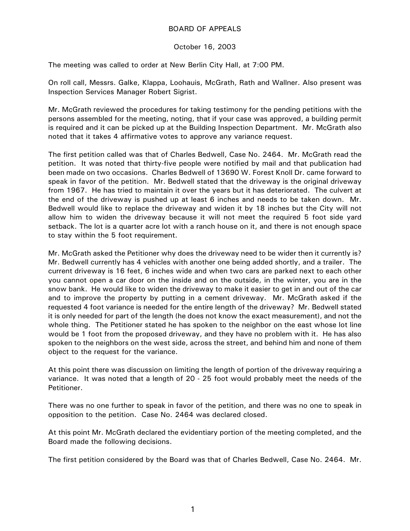## BOARD OF APPEALS

## October 16, 2003

The meeting was called to order at New Berlin City Hall, at 7:00 PM.

On roll call, Messrs. Galke, Klappa, Loohauis, McGrath, Rath and Wallner. Also present was Inspection Services Manager Robert Sigrist.

Mr. McGrath reviewed the procedures for taking testimony for the pending petitions with the persons assembled for the meeting, noting, that if your case was approved, a building permit is required and it can be picked up at the Building Inspection Department. Mr. McGrath also noted that it takes 4 affirmative votes to approve any variance request.

The first petition called was that of Charles Bedwell, Case No. 2464. Mr. McGrath read the petition. It was noted that thirty-five people were notified by mail and that publication had been made on two occasions. Charles Bedwell of 13690 W. Forest Knoll Dr. came forward to speak in favor of the petition. Mr. Bedwell stated that the driveway is the original driveway from 1967. He has tried to maintain it over the years but it has deteriorated. The culvert at the end of the driveway is pushed up at least 6 inches and needs to be taken down. Mr. Bedwell would like to replace the driveway and widen it by 18 inches but the City will not allow him to widen the driveway because it will not meet the required 5 foot side yard setback. The lot is a quarter acre lot with a ranch house on it, and there is not enough space to stay within the 5 foot requirement.

Mr. McGrath asked the Petitioner why does the driveway need to be wider then it currently is? Mr. Bedwell currently has 4 vehicles with another one being added shortly, and a trailer. The current driveway is 16 feet, 6 inches wide and when two cars are parked next to each other you cannot open a car door on the inside and on the outside, in the winter, you are in the snow bank. He would like to widen the driveway to make it easier to get in and out of the car and to improve the property by putting in a cement driveway. Mr. McGrath asked if the requested 4 foot variance is needed for the entire length of the driveway? Mr. Bedwell stated it is only needed for part of the length (he does not know the exact measurement), and not the whole thing. The Petitioner stated he has spoken to the neighbor on the east whose lot line would be 1 foot from the proposed driveway, and they have no problem with it. He has also spoken to the neighbors on the west side, across the street, and behind him and none of them object to the request for the variance.

At this point there was discussion on limiting the length of portion of the driveway requiring a variance. It was noted that a length of 20 - 25 foot would probably meet the needs of the Petitioner.

There was no one further to speak in favor of the petition, and there was no one to speak in opposition to the petition. Case No. 2464 was declared closed.

At this point Mr. McGrath declared the evidentiary portion of the meeting completed, and the Board made the following decisions.

The first petition considered by the Board was that of Charles Bedwell, Case No. 2464. Mr.